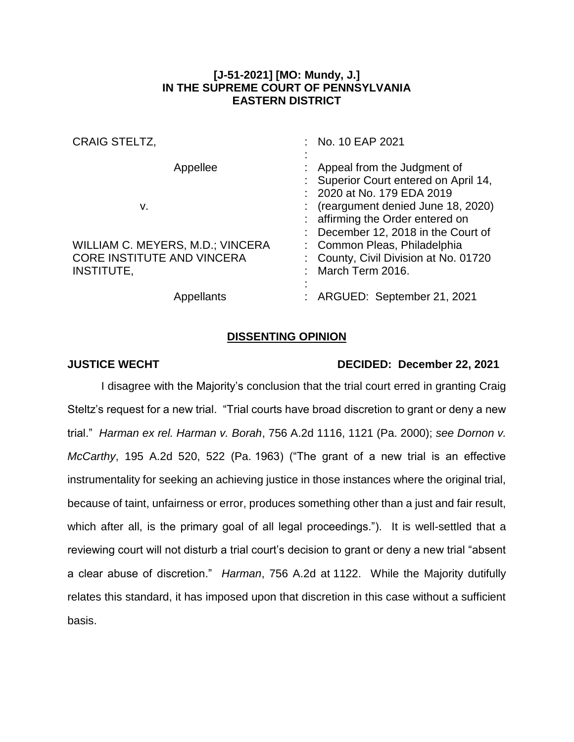## **[J-51-2021] [MO: Mundy, J.] IN THE SUPREME COURT OF PENNSYLVANIA EASTERN DISTRICT**

| <b>CRAIG STELTZ,</b>                                                                       | : No. 10 EAP 2021                                                                                                                  |
|--------------------------------------------------------------------------------------------|------------------------------------------------------------------------------------------------------------------------------------|
| Appellee                                                                                   | : Appeal from the Judgment of<br>: Superior Court entered on April 14,<br>: 2020 at No. 179 EDA 2019                               |
| v.                                                                                         | $:$ (reargument denied June 18, 2020)<br>: affirming the Order entered on                                                          |
| WILLIAM C. MEYERS, M.D.; VINCERA<br><b>CORE INSTITUTE AND VINCERA</b><br><b>INSTITUTE,</b> | : December 12, 2018 in the Court of<br>: Common Pleas, Philadelphia<br>: County, Civil Division at No. 01720<br>: March Term 2016. |
| Appellants                                                                                 | : ARGUED: September 21, 2021                                                                                                       |

## **DISSENTING OPINION**

## **JUSTICE WECHT DECIDED: December 22, 2021**

I disagree with the Majority's conclusion that the trial court erred in granting Craig Steltz's request for a new trial. "Trial courts have broad discretion to grant or deny a new trial." *Harman ex rel. Harman v. Borah*, 756 A.2d 1116, 1121 (Pa. 2000); *see Dornon v. McCarthy*, 195 A.2d 520, 522 (Pa. 1963) ("The grant of a new trial is an effective instrumentality for seeking an achieving justice in those instances where the original trial, because of taint, unfairness or error, produces something other than a just and fair result, which after all, is the primary goal of all legal proceedings."). It is well-settled that a reviewing court will not disturb a trial court's decision to grant or deny a new trial "absent a clear abuse of discretion." *Harman*, 756 A.2d at 1122. While the Majority dutifully relates this standard, it has imposed upon that discretion in this case without a sufficient basis.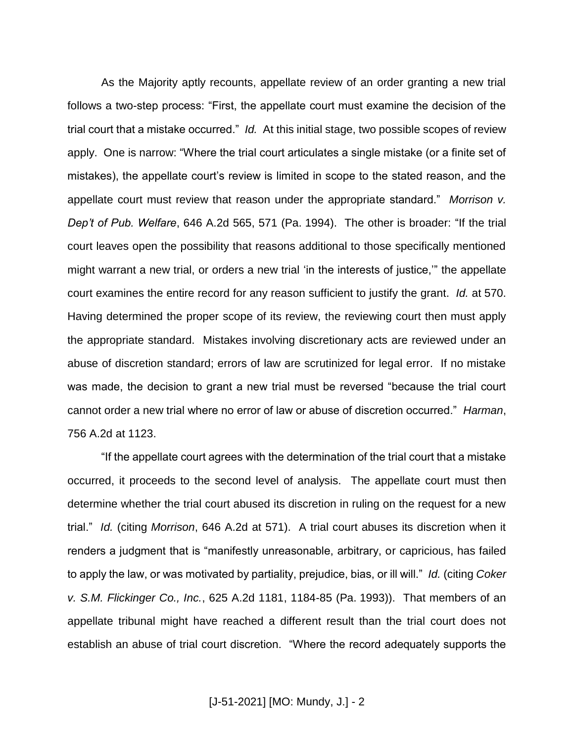As the Majority aptly recounts, appellate review of an order granting a new trial follows a two-step process: "First, the appellate court must examine the decision of the trial court that a mistake occurred." *Id.* At this initial stage, two possible scopes of review apply. One is narrow: "Where the trial court articulates a single mistake (or a finite set of mistakes), the appellate court's review is limited in scope to the stated reason, and the appellate court must review that reason under the appropriate standard." *Morrison v. Dep't of Pub. Welfare*, 646 A.2d 565, 571 (Pa. 1994). The other is broader: "If the trial court leaves open the possibility that reasons additional to those specifically mentioned might warrant a new trial, or orders a new trial 'in the interests of justice,'" the appellate court examines the entire record for any reason sufficient to justify the grant. *Id.* at 570. Having determined the proper scope of its review, the reviewing court then must apply the appropriate standard. Mistakes involving discretionary acts are reviewed under an abuse of discretion standard; errors of law are scrutinized for legal error. If no mistake was made, the decision to grant a new trial must be reversed "because the trial court cannot order a new trial where no error of law or abuse of discretion occurred." *Harman*, 756 A.2d at 1123.

"If the appellate court agrees with the determination of the trial court that a mistake occurred, it proceeds to the second level of analysis. The appellate court must then determine whether the trial court abused its discretion in ruling on the request for a new trial." *Id.* (citing *Morrison*, 646 A.2d at 571). A trial court abuses its discretion when it renders a judgment that is "manifestly unreasonable, arbitrary, or capricious, has failed to apply the law, or was motivated by partiality, prejudice, bias, or ill will." *Id.* (citing *Coker v. S.M. Flickinger Co., Inc.*, 625 A.2d 1181, 1184-85 (Pa. 1993)). That members of an appellate tribunal might have reached a different result than the trial court does not establish an abuse of trial court discretion. "Where the record adequately supports the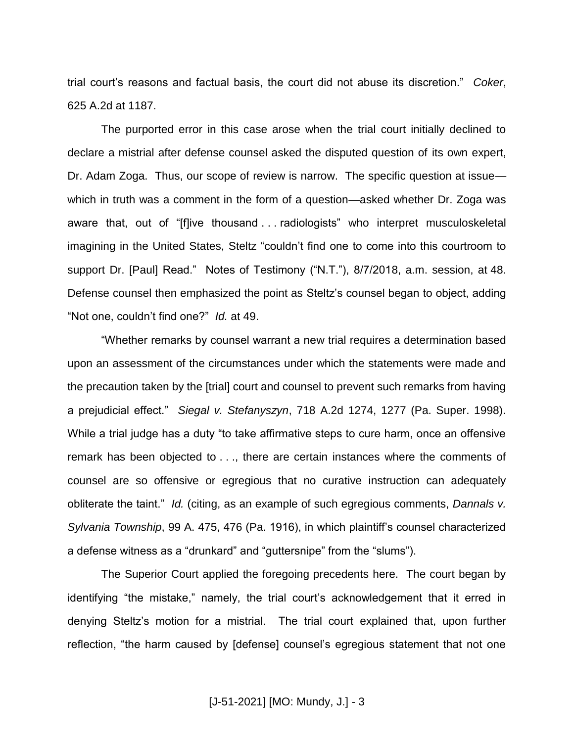trial court's reasons and factual basis, the court did not abuse its discretion." *Coker*, 625 A.2d at 1187.

The purported error in this case arose when the trial court initially declined to declare a mistrial after defense counsel asked the disputed question of its own expert, Dr. Adam Zoga. Thus, our scope of review is narrow. The specific question at issue which in truth was a comment in the form of a question—asked whether Dr. Zoga was aware that, out of "[f]ive thousand . . . radiologists" who interpret musculoskeletal imagining in the United States, Steltz "couldn't find one to come into this courtroom to support Dr. [Paul] Read." Notes of Testimony ("N.T."), 8/7/2018, a.m. session, at 48. Defense counsel then emphasized the point as Steltz's counsel began to object, adding "Not one, couldn't find one?" *Id.* at 49.

"Whether remarks by counsel warrant a new trial requires a determination based upon an assessment of the circumstances under which the statements were made and the precaution taken by the [trial] court and counsel to prevent such remarks from having a prejudicial effect." *Siegal v. Stefanyszyn*, 718 A.2d 1274, 1277 (Pa. Super. 1998). While a trial judge has a duty "to take affirmative steps to cure harm, once an offensive remark has been objected to . . ., there are certain instances where the comments of counsel are so offensive or egregious that no curative instruction can adequately obliterate the taint." *Id.* (citing, as an example of such egregious comments, *Dannals v. Sylvania Township*, 99 A. 475, 476 (Pa. 1916), in which plaintiff's counsel characterized a defense witness as a "drunkard" and "guttersnipe" from the "slums").

The Superior Court applied the foregoing precedents here. The court began by identifying "the mistake," namely, the trial court's acknowledgement that it erred in denying Steltz's motion for a mistrial. The trial court explained that, upon further reflection, "the harm caused by [defense] counsel's egregious statement that not one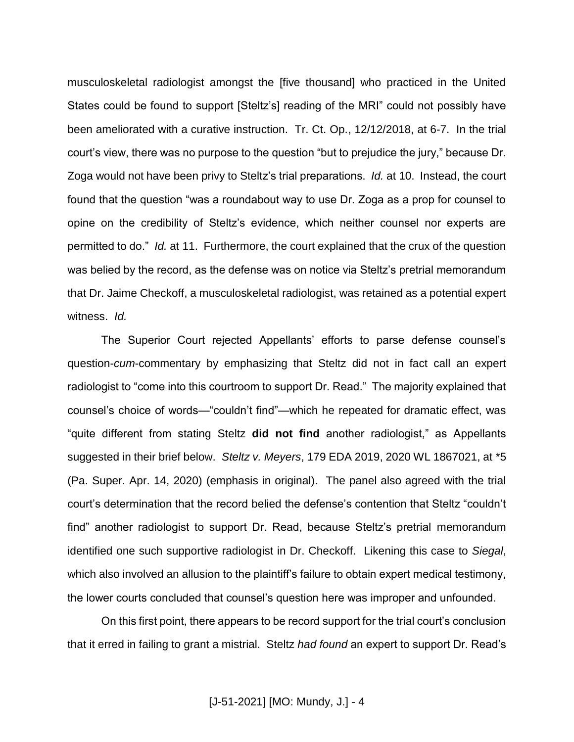musculoskeletal radiologist amongst the [five thousand] who practiced in the United States could be found to support [Steltz's] reading of the MRI" could not possibly have been ameliorated with a curative instruction. Tr. Ct. Op., 12/12/2018, at 6-7. In the trial court's view, there was no purpose to the question "but to prejudice the jury," because Dr. Zoga would not have been privy to Steltz's trial preparations. *Id.* at 10. Instead, the court found that the question "was a roundabout way to use Dr. Zoga as a prop for counsel to opine on the credibility of Steltz's evidence, which neither counsel nor experts are permitted to do." *Id.* at 11. Furthermore, the court explained that the crux of the question was belied by the record, as the defense was on notice via Steltz's pretrial memorandum that Dr. Jaime Checkoff, a musculoskeletal radiologist, was retained as a potential expert witness. *Id.*

The Superior Court rejected Appellants' efforts to parse defense counsel's question-*cum*-commentary by emphasizing that Steltz did not in fact call an expert radiologist to "come into this courtroom to support Dr. Read." The majority explained that counsel's choice of words—"couldn't find"—which he repeated for dramatic effect, was "quite different from stating Steltz **did not find** another radiologist," as Appellants suggested in their brief below. *Steltz v. Meyers*, 179 EDA 2019, 2020 WL 1867021, at \*5 (Pa. Super. Apr. 14, 2020) (emphasis in original). The panel also agreed with the trial court's determination that the record belied the defense's contention that Steltz "couldn't find" another radiologist to support Dr. Read, because Steltz's pretrial memorandum identified one such supportive radiologist in Dr. Checkoff. Likening this case to *Siegal*, which also involved an allusion to the plaintiff's failure to obtain expert medical testimony, the lower courts concluded that counsel's question here was improper and unfounded.

On this first point, there appears to be record support for the trial court's conclusion that it erred in failing to grant a mistrial. Steltz *had found* an expert to support Dr. Read's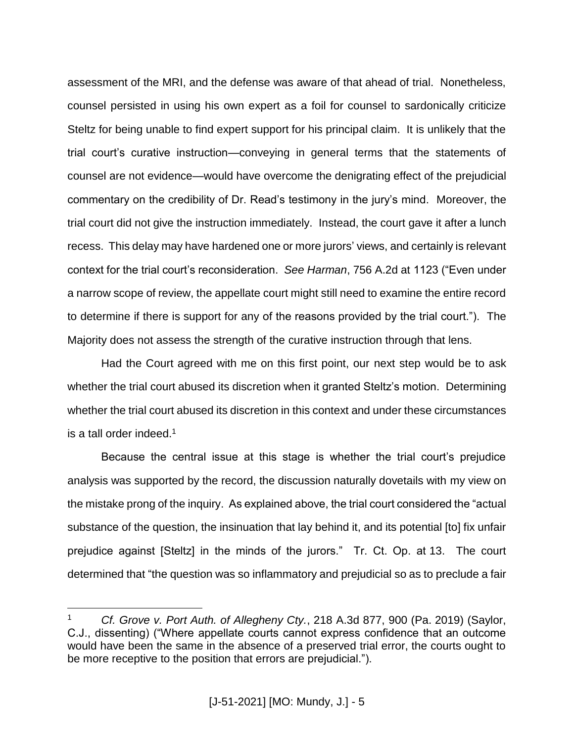assessment of the MRI, and the defense was aware of that ahead of trial. Nonetheless, counsel persisted in using his own expert as a foil for counsel to sardonically criticize Steltz for being unable to find expert support for his principal claim. It is unlikely that the trial court's curative instruction—conveying in general terms that the statements of counsel are not evidence—would have overcome the denigrating effect of the prejudicial commentary on the credibility of Dr. Read's testimony in the jury's mind. Moreover, the trial court did not give the instruction immediately. Instead, the court gave it after a lunch recess. This delay may have hardened one or more jurors' views, and certainly is relevant context for the trial court's reconsideration. *See Harman*, 756 A.2d at 1123 ("Even under a narrow scope of review, the appellate court might still need to examine the entire record to determine if there is support for any of the reasons provided by the trial court."). The Majority does not assess the strength of the curative instruction through that lens.

Had the Court agreed with me on this first point, our next step would be to ask whether the trial court abused its discretion when it granted Steltz's motion. Determining whether the trial court abused its discretion in this context and under these circumstances is a tall order indeed. $1$ 

Because the central issue at this stage is whether the trial court's prejudice analysis was supported by the record, the discussion naturally dovetails with my view on the mistake prong of the inquiry. As explained above, the trial court considered the "actual substance of the question, the insinuation that lay behind it, and its potential [to] fix unfair prejudice against [Steltz] in the minds of the jurors." Tr. Ct. Op. at 13. The court determined that "the question was so inflammatory and prejudicial so as to preclude a fair

 $\overline{a}$ 

<sup>1</sup> *Cf. Grove v. Port Auth. of Allegheny Cty.*, 218 A.3d 877, 900 (Pa. 2019) (Saylor, C.J., dissenting) ("Where appellate courts cannot express confidence that an outcome would have been the same in the absence of a preserved trial error, the courts ought to be more receptive to the position that errors are prejudicial.").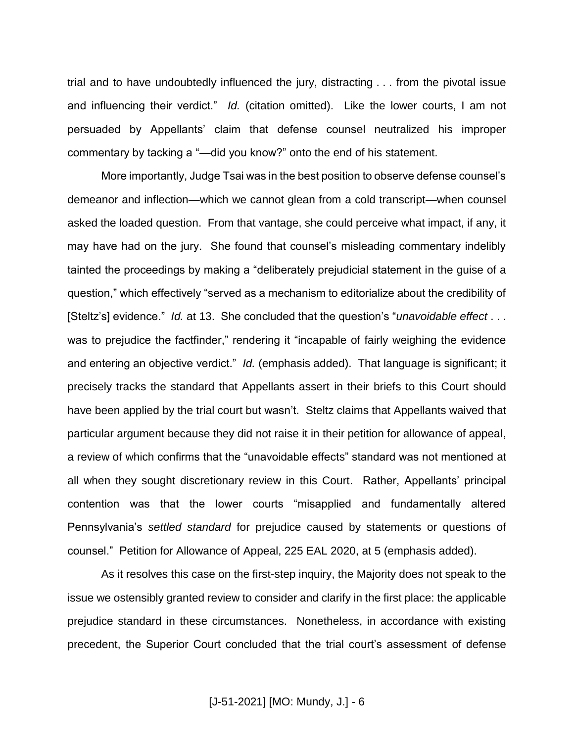trial and to have undoubtedly influenced the jury, distracting . . . from the pivotal issue and influencing their verdict." *Id.* (citation omitted). Like the lower courts, I am not persuaded by Appellants' claim that defense counsel neutralized his improper commentary by tacking a "—did you know?" onto the end of his statement.

More importantly, Judge Tsai was in the best position to observe defense counsel's demeanor and inflection—which we cannot glean from a cold transcript—when counsel asked the loaded question. From that vantage, she could perceive what impact, if any, it may have had on the jury. She found that counsel's misleading commentary indelibly tainted the proceedings by making a "deliberately prejudicial statement in the guise of a question," which effectively "served as a mechanism to editorialize about the credibility of [Steltz's] evidence." *Id.* at 13. She concluded that the question's "*unavoidable effect* . . . was to prejudice the factfinder," rendering it "incapable of fairly weighing the evidence and entering an objective verdict." *Id.* (emphasis added). That language is significant; it precisely tracks the standard that Appellants assert in their briefs to this Court should have been applied by the trial court but wasn't. Steltz claims that Appellants waived that particular argument because they did not raise it in their petition for allowance of appeal, a review of which confirms that the "unavoidable effects" standard was not mentioned at all when they sought discretionary review in this Court. Rather, Appellants' principal contention was that the lower courts "misapplied and fundamentally altered Pennsylvania's *settled standard* for prejudice caused by statements or questions of counsel." Petition for Allowance of Appeal, 225 EAL 2020, at 5 (emphasis added).

As it resolves this case on the first-step inquiry, the Majority does not speak to the issue we ostensibly granted review to consider and clarify in the first place: the applicable prejudice standard in these circumstances. Nonetheless, in accordance with existing precedent, the Superior Court concluded that the trial court's assessment of defense